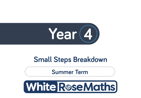

# **Small Steps Breakdown**

**Summer Term**

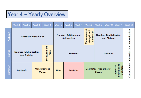# Year 4 - Yearly Overview

|        | Week 1                                                               | Week 2                                          | Week 3 | Week 4                                           | Week 5 | Week 6            | Week 7                                                       | Week 8                                        | Week 9 | Week 10          | Week 11       | Week 12 |
|--------|----------------------------------------------------------------------|-------------------------------------------------|--------|--------------------------------------------------|--------|-------------------|--------------------------------------------------------------|-----------------------------------------------|--------|------------------|---------------|---------|
| E      | Number - Place Value                                                 |                                                 |        | <b>Number-Addition and</b><br><b>Subtraction</b> |        |                   | Measurement<br>- Length and<br>Perimeter                     | <b>Number- Multiplication</b><br>and Division |        |                  | Consolidation |         |
| Spring | Measurement<br>Area<br><b>Number- Multiplication</b><br>and Division |                                                 |        | <b>Fractions</b>                                 |        |                   | <b>Decimals</b>                                              |                                               |        | Consolidation    |               |         |
| ౘ      |                                                                      | Measurement-<br><b>Decimals</b><br><b>Money</b> |        | <b>Time</b>                                      |        | <b>Statistics</b> | Position and<br>Geometry<br>Geometry- Properties of<br>Shape |                                               |        | <b>Direction</b> | Consolidation |         |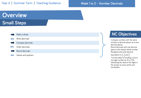#### Week 1 to 2 – Number: Decimals

# **Overview Small Steps**

| Make a whole        |  |
|---------------------|--|
| Write decimals      |  |
| Compare decimals    |  |
| Order decimals      |  |
| Round decimals      |  |
| Halves and quarters |  |

## **NC Objectives**

Compare numbers with the same number of decimal places up to two decimal places. Round decimals with one decimal place to the nearest whole number. Recognise and write decimal equivalents to  $\frac{1}{4}, \frac{1}{2}$  $\frac{1}{2}$  and  $\frac{3}{4}$ Find the effect of dividing a one or two digit number by 10 or 100, identifying the value of the digits in

the answer as ones, tenths and

hundredths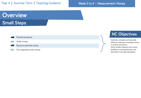### Week 3 to 4 – Measurement: Money

# **Overview Small Steps**

Pounds and pence

#### Order money

Round to estimate money

Four operations with money

## **NC Objectives**

Estimate, compare and calculate different measures, including money in pounds and pence. Solve simple measure and money problems involving fractions and decimals to two decimal places.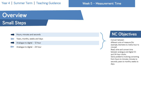#### Week 5 – Measurement: Time

# **Overview Small Steps**

| Hours, minutes and seconds    |
|-------------------------------|
| Years, months, weeks and days |

- Analogue to digital 12 hour
- Analogue to digital 24 hour

## **NC Objectives**

Convert between different units of measure [for example, kilometre to metre; hour to minute] Read, write and convert time between analogue and digital 12 and 24-hour clocks. Solve problems involving converting from hours to minutes; minutes to seconds; years to months; weeks to days.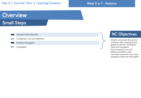#### Week 6 to 7 - Statistics

# **Overview Small Steps**

Interpret charts (discrete)

Comparison, sum and difference

#### Introduce line graphs

Line graphs

## **NC Objectives**

Interpret and present discrete and continuous data using appropriate graphical methods, including bar charts and time graphs. Solve comparison, sum and difference problems using information presented in bar charts, pictograms, tables and other graphs.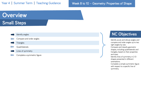### Week 8 to 10 – Geometry: Properties of Shape

# **Overview Small Steps**

| Identify angles             |
|-----------------------------|
| Compare and order angles    |
| <b>Triangles</b>            |
| Quadrilaterals              |
| Lines of symmetry           |
| Complete a symmetric figure |

### **NC Objectives**

Identify acute and obtuse angles and compare and order angles up to two right angles by size.

Compare and classify geometric shapes, including quadrilaterals and triangles, based on their properties and sizes.

Identify lines of symmetry in 2-D shapes presented in different orientations.

Complete a simple symmetric figure with respect to a specific line of symmetry.